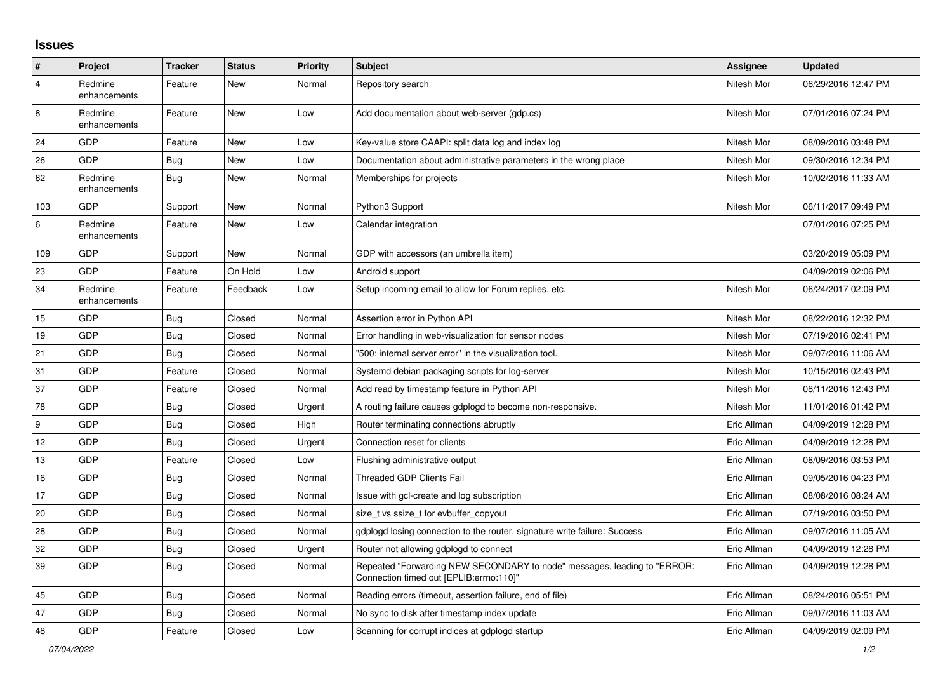## **Issues**

| #              | Project                 | <b>Tracker</b> | <b>Status</b> | <b>Priority</b> | <b>Subject</b>                                                                                                      | Assignee    | <b>Updated</b>      |
|----------------|-------------------------|----------------|---------------|-----------------|---------------------------------------------------------------------------------------------------------------------|-------------|---------------------|
| $\overline{4}$ | Redmine<br>enhancements | Feature        | New           | Normal          | Repository search                                                                                                   | Nitesh Mor  | 06/29/2016 12:47 PM |
| 8              | Redmine<br>enhancements | Feature        | New           | Low             | Add documentation about web-server (gdp.cs)                                                                         | Nitesh Mor  | 07/01/2016 07:24 PM |
| 24             | GDP                     | Feature        | <b>New</b>    | Low             | Key-value store CAAPI: split data log and index log                                                                 | Nitesh Mor  | 08/09/2016 03:48 PM |
| 26             | GDP                     | Bug            | New           | Low             | Documentation about administrative parameters in the wrong place                                                    | Nitesh Mor  | 09/30/2016 12:34 PM |
| 62             | Redmine<br>enhancements | Bug            | New           | Normal          | Memberships for projects                                                                                            | Nitesh Mor  | 10/02/2016 11:33 AM |
| 103            | GDP                     | Support        | New           | Normal          | Python3 Support                                                                                                     | Nitesh Mor  | 06/11/2017 09:49 PM |
| 6              | Redmine<br>enhancements | Feature        | New           | Low             | Calendar integration                                                                                                |             | 07/01/2016 07:25 PM |
| 109            | <b>GDP</b>              | Support        | <b>New</b>    | Normal          | GDP with accessors (an umbrella item)                                                                               |             | 03/20/2019 05:09 PM |
| 23             | <b>GDP</b>              | Feature        | On Hold       | Low             | Android support                                                                                                     |             | 04/09/2019 02:06 PM |
| 34             | Redmine<br>enhancements | Feature        | Feedback      | Low             | Setup incoming email to allow for Forum replies, etc.                                                               | Nitesh Mor  | 06/24/2017 02:09 PM |
| 15             | GDP                     | <b>Bug</b>     | Closed        | Normal          | Assertion error in Python API                                                                                       | Nitesh Mor  | 08/22/2016 12:32 PM |
| 19             | GDP                     | <b>Bug</b>     | Closed        | Normal          | Error handling in web-visualization for sensor nodes                                                                | Nitesh Mor  | 07/19/2016 02:41 PM |
| 21             | GDP                     | <b>Bug</b>     | Closed        | Normal          | "500: internal server error" in the visualization tool.                                                             | Nitesh Mor  | 09/07/2016 11:06 AM |
| 31             | GDP                     | Feature        | Closed        | Normal          | Systemd debian packaging scripts for log-server                                                                     | Nitesh Mor  | 10/15/2016 02:43 PM |
| 37             | GDP                     | Feature        | Closed        | Normal          | Add read by timestamp feature in Python API                                                                         | Nitesh Mor  | 08/11/2016 12:43 PM |
| 78             | GDP                     | <b>Bug</b>     | Closed        | Urgent          | A routing failure causes gdplogd to become non-responsive.                                                          | Nitesh Mor  | 11/01/2016 01:42 PM |
| 9              | GDP                     | Bug            | Closed        | High            | Router terminating connections abruptly                                                                             | Eric Allman | 04/09/2019 12:28 PM |
| 12             | GDP                     | Bug            | Closed        | Urgent          | Connection reset for clients                                                                                        | Eric Allman | 04/09/2019 12:28 PM |
| 13             | GDP                     | Feature        | Closed        | Low             | Flushing administrative output                                                                                      | Eric Allman | 08/09/2016 03:53 PM |
| 16             | GDP                     | Bug            | Closed        | Normal          | <b>Threaded GDP Clients Fail</b>                                                                                    | Eric Allman | 09/05/2016 04:23 PM |
| 17             | <b>GDP</b>              | <b>Bug</b>     | Closed        | Normal          | Issue with gcl-create and log subscription                                                                          | Eric Allman | 08/08/2016 08:24 AM |
| 20             | GDP                     | Bug            | Closed        | Normal          | size t vs ssize t for evbuffer copyout                                                                              | Eric Allman | 07/19/2016 03:50 PM |
| 28             | GDP                     | Bug            | Closed        | Normal          | gdplogd losing connection to the router, signature write failure: Success                                           | Eric Allman | 09/07/2016 11:05 AM |
| 32             | <b>GDP</b>              | Bug            | Closed        | Urgent          | Router not allowing gdplogd to connect                                                                              | Eric Allman | 04/09/2019 12:28 PM |
| 39             | GDP                     | Bug            | Closed        | Normal          | Repeated "Forwarding NEW SECONDARY to node" messages, leading to "ERROR:<br>Connection timed out [EPLIB:errno:110]" | Eric Allman | 04/09/2019 12:28 PM |
| 45             | <b>GDP</b>              | Bug            | Closed        | Normal          | Reading errors (timeout, assertion failure, end of file)                                                            | Eric Allman | 08/24/2016 05:51 PM |
| 47             | GDP                     | Bug            | Closed        | Normal          | No sync to disk after timestamp index update                                                                        | Eric Allman | 09/07/2016 11:03 AM |
| 48             | GDP                     | Feature        | Closed        | Low             | Scanning for corrupt indices at gdplogd startup                                                                     | Eric Allman | 04/09/2019 02:09 PM |